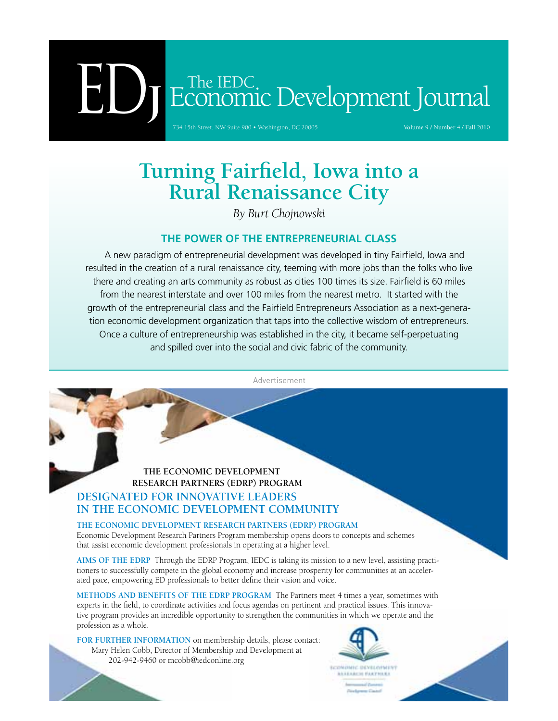# The IEDC.<br>
ECONOMIC Development Journal<br>
T34 15th Street, NW Suite 900 • Washington, DC 20005

734 15th Street, NW Suite 900 • Washington, DC 20005

# **Turning Fairfield, Iowa into a Rural Renaissance City**

*By Burt Chojnowski*

# **The Power of the Entrepreneurial Class**

A new paradigm of entrepreneurial development was developed in tiny Fairfield, Iowa and resulted in the creation of a rural renaissance city, teeming with more jobs than the folks who live there and creating an arts community as robust as cities 100 times its size. Fairfield is 60 miles from the nearest interstate and over 100 miles from the nearest metro. It started with the growth of the entrepreneurial class and the Fairfield Entrepreneurs Association as a next-generation economic development organization that taps into the collective wisdom of entrepreneurs. Once a culture of entrepreneurship was established in the city, it became self-perpetuating and spilled over into the social and civic fabric of the community.

Advertisement

# **The Economic Development Research Partners (EDRP) Program Designated for Innovative Leaders [in the Economic Development Community](www.iedconline.org/?p=EDRP)**

**The Economic Development Research Partners (EDRP) Program**  Economic Development Research Partners Program membership opens doors to concepts and schemes that assist economic development professionals in operating at a higher level.

**Aims of the EDRP** Through the EDRP Program, IEDC is taking its mission to a new level, assisting practitioners to successfully compete in the global economy and increase prosperity for communities at an accelerated pace, empowering ED professionals to better define their vision and voice.

**Methods and Benefits of the EDRP Program** The Partners meet 4 times a year, sometimes with experts in the field, to coordinate activities and focus agendas on pertinent and practical issues. This innovative program provides an incredible opportunity to strengthen the communities in which we operate and the profession as a whole.

FOR FURTHER INFORMATION on membership details, please contact: Mary Helen Cobb, Director of Membership and Development at 202-942-9460 or mcobb@iedconline.org

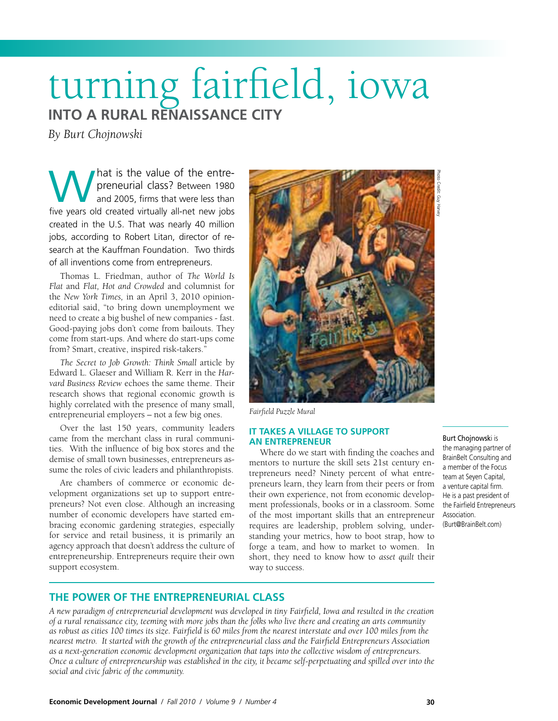# turning fairfield, iowa **into a Rural Renaissance City**

*By Burt Chojnowski*

hat is the value of the entrepreneurial class? Between 1980 and 2005, firms that were less than **following the value of the entre-**<br>preneurial class? Between 1980<br>and 2005, firms that were less than<br>five years old created virtually all-net new jobs created in the U.S. That was nearly 40 million jobs, according to Robert Litan, director of research at the Kauffman Foundation. Two thirds of all inventions come from entrepreneurs.

Thomas L. Friedman, author of *The World Is Flat* and *Flat, Hot and Crowded* and columnist for the *New York Times,* in an April 3, 2010 opinioneditorial said, "to bring down unemployment we need to create a big bushel of new companies - fast. Good-paying jobs don't come from bailouts. They come from start-ups. And where do start-ups come from? Smart, creative, inspired risk-takers."

*The Secret to Job Growth: Think Small* article by Edward L. Glaeser and William R. Kerr in the *Harvard Business Review* echoes the same theme. Their research shows that regional economic growth is highly correlated with the presence of many small, entrepreneurial employers – not a few big ones.

Over the last 150 years, community leaders came from the merchant class in rural communities. With the influence of big box stores and the demise of small town businesses, entrepreneurs assume the roles of civic leaders and philanthropists.

Are chambers of commerce or economic development organizations set up to support entrepreneurs? Not even close. Although an increasing number of economic developers have started embracing economic gardening strategies, especially for service and retail business, it is primarily an agency approach that doesn't address the culture of entrepreneurship. Entrepreneurs require their own support ecosystem.



*Fairfield Puzzle Mural*

#### **It Takes a Village to Support an Entrepreneur**

Where do we start with finding the coaches and mentors to nurture the skill sets 21st century entrepreneurs need? Ninety percent of what entrepreneurs learn, they learn from their peers or from their own experience, not from economic development professionals, books or in a classroom. Some of the most important skills that an entrepreneur requires are leadership, problem solving, understanding your metrics, how to boot strap, how to forge a team, and how to market to women. In short, they need to know how to *asset quilt* their way to success.

#### Burt Chojnowski is

the managing partner of BrainBelt Consulting and a member of the Focus team at Seyen Capital, a venture capital firm. He is a past president of the Fairfield Entrepreneurs Association. (Burt@BrainBelt.com)

## **The Power of the Entrepreneurial Class**

*A new paradigm of entrepreneurial development was developed in tiny Fairfield, Iowa and resulted in the creation of a rural renaissance city, teeming with more jobs than the folks who live there and creating an arts community as robust as cities 100 times its size. Fairfield is 60 miles from the nearest interstate and over 100 miles from the nearest metro. It started with the growth of the entrepreneurial class and the Fairfield Entrepreneurs Association as a next-generation economic development organization that taps into the collective wisdom of entrepreneurs. Once a culture of entrepreneurship was established in the city, it became self-perpetuating and spilled over into the social and civic fabric of the community.*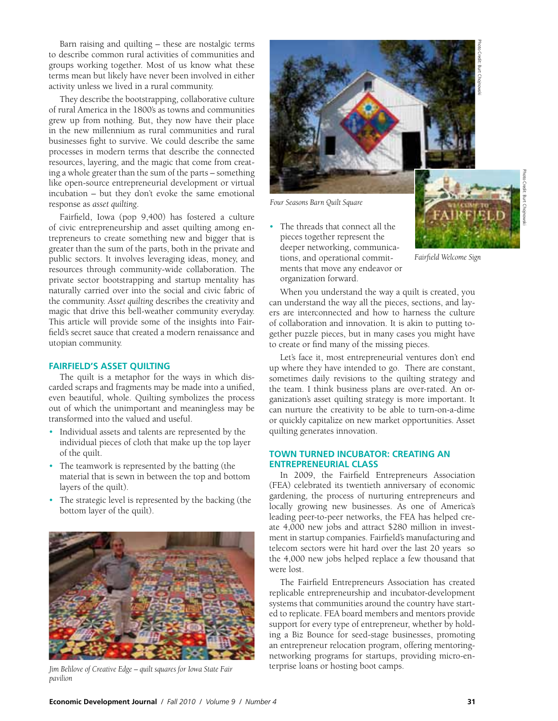Barn raising and quilting – these are nostalgic terms to describe common rural activities of communities and groups working together. Most of us know what these terms mean but likely have never been involved in either activity unless we lived in a rural community.

They describe the bootstrapping, collaborative culture of rural America in the 1800's as towns and communities grew up from nothing. But, they now have their place in the new millennium as rural communities and rural businesses fight to survive. We could describe the same processes in modern terms that describe the connected resources, layering, and the magic that come from creating a whole greater than the sum of the parts – something like open-source entrepreneurial development or virtual incubation – but they don't evoke the same emotional response as *asset quilting*.

Fairfield, Iowa (pop 9,400) has fostered a culture of civic entrepreneurship and asset quilting among entrepreneurs to create something new and bigger that is greater than the sum of the parts, both in the private and public sectors. It involves leveraging ideas, money, and resources through community-wide collaboration. The private sector bootstrapping and startup mentality has naturally carried over into the social and civic fabric of the community. *Asset quilting* describes the creativity and magic that drive this bell-weather community everyday. This article will provide some of the insights into Fairfield's secret sauce that created a modern renaissance and utopian community.

#### **Fairfield's Asset Quilting**

The quilt is a metaphor for the ways in which discarded scraps and fragments may be made into a unified, even beautiful, whole. Quilting symbolizes the process out of which the unimportant and meaningless may be transformed into the valued and useful.

- Individual assets and talents are represented by the individual pieces of cloth that make up the top layer of the quilt.
- The teamwork is represented by the batting (the material that is sewn in between the top and bottom layers of the quilt).
- The strategic level is represented by the backing (the bottom layer of the quilt).



*pavilion*



*Four Seasons Barn Quilt Square* 

• The threads that connect all the pieces together represent the deeper networking, communications, and operational commitments that move any endeavor or organization forward.



Photo Credit: Burt Chojnowski

When you understand the way a quilt is created, you can understand the way all the pieces, sections, and layers are interconnected and how to harness the culture of collaboration and innovation. It is akin to putting together puzzle pieces, but in many cases you might have to create or find many of the missing pieces.

Let's face it, most entrepreneurial ventures don't end up where they have intended to go. There are constant, sometimes daily revisions to the quilting strategy and the team. I think business plans are over-rated. An organization's asset quilting strategy is more important. It can nurture the creativity to be able to turn-on-a-dime or quickly capitalize on new market opportunities. Asset quilting generates innovation.

#### **Town Turned Incubator: Creating an Entrepreneurial Class**

In 2009, the Fairfield Entrepreneurs Association (FEA) celebrated its twentieth anniversary of economic gardening, the process of nurturing entrepreneurs and locally growing new businesses. As one of America's leading peer-to-peer networks, the FEA has helped create 4,000 new jobs and attract \$280 million in investment in startup companies. Fairfield's manufacturing and telecom sectors were hit hard over the last 20 years so the 4,000 new jobs helped replace a few thousand that were lost.

The Fairfield Entrepreneurs Association has created replicable entrepreneurship and incubator-development systems that communities around the country have started to replicate. FEA board members and mentors provide support for every type of entrepreneur, whether by holding a Biz Bounce for seed-stage businesses, promoting an entrepreneur relocation program, offering mentoringnetworking programs for startups, providing micro-enterprise loans or hosting boot camps. *Jim Belilove of Creative Edge – quilt squares for Iowa State Fair*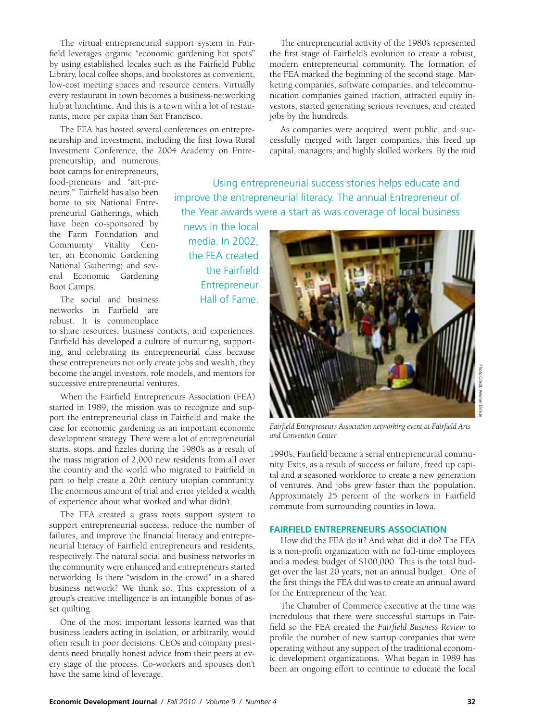The virtual entrepreneurial support system in Fairfield leverages organic "economic gardening hot spots" by using established locales such as the Fairfield Public Library, local coffee shops, and bookstores as convenient, low-cost meeting spaces and resource centers. Virtually every restaurant in town becomes a business-networking hub at lunchtime. And this is a town with a lot of restaurants, more per capita than San Francisco.

The FEA has hosted several conferences on entrepreneurship and investment, including the first Iowa Rural Investment Conference, the 2004 Academy on Entre-

> news in the local media. In 2002, the FEA created the Fairfield Entrepreneur Hall of Fame.

The entrepreneurial activity of the 1980's represented the first stage of Fairfield's evolution to create a robust, modern entrepreneurial community. The formation of the FEA marked the beginning of the second stage. Marketing companies, software companies, and telecommunication companies gained traction, attracted equity investors, started generating serious revenues, and created jobs by the hundreds.

As companies were acquired, went public, and successfully merged with larger companies, this freed up capital, managers, and highly skilled workers. By the mid

Using entrepreneurial success stories helps educate and

improve the entrepreneurial literacy. The annual Entrepreneur of the Year awards were a start as was coverage of local business

preneurship, and numerous boot camps for entrepreneurs, food-preneurs and "art-preneurs." Fairfield has also been home to six National Entrepreneurial Gatherings, which have been co-sponsored by the Farm Foundation and Community Vitality Center; an Economic Gardening National Gathering; and several Economic Gardening Boot Camps.

The social and business networks in Fairfield are robust. It is commonplace

to share resources, business contacts, and experiences. Fairfield has developed a culture of nurturing, supporting, and celebrating its entrepreneurial class because these entrepreneurs not only create jobs and wealth, they become the angel investors, role models, and mentors for successive entrepreneurial ventures.

When the Fairfield Entrepreneurs Association (FEA) started in 1989, the mission was to recognize and support the entrepreneurial class in Fairfield and make the case for economic gardening as an important economic development strategy. There were a lot of entrepreneurial starts, stops, and fizzles during the 1980's as a result of the mass migration of 2,000 new residents from all over the country and the world who migrated to Fairfield in part to help create a 20th century utopian community. The enormous amount of trial and error yielded a wealth of experience about what worked and what didn't.

The FEA created a grass roots support system to support entrepreneurial success, reduce the number of failures, and improve the financial literacy and entrepreneurial literacy of Fairfield entrepreneurs and residents, respectively. The natural social and business networks in the community were enhanced and entrepreneurs started networking. Is there "wisdom in the crowd" in a shared business network? We think so. This expression of a group's creative intelligence is an intangible bonus of asset quilting.

One of the most important lessons learned was that business leaders acting in isolation, or arbitrarily, would often result in poor decisions. CEOs and company presidents need brutally honest advice from their peers at every stage of the process. Co-workers and spouses don't have the same kind of leverage.

*Fairfield Entrepreneurs Association networking event at Fairfield Arts and Convention Center* 

1990's, Fairfield became a serial entrepreneurial community. Exits, as a result of success or failure, freed up capital and a seasoned workforce to create a new generation of ventures. And jobs grew faster than the population. Approximately 25 percent of the workers in Fairfield commute from surrounding counties in Iowa.

#### **Fairfield Entrepreneurs Association**

 How did the FEA do it? And what did it do? The FEA is a non-profit organization with no full-time employees and a modest budget of \$100,000. This is the total budget over the last 20 years, not an annual budget. One of the first things the FEA did was to create an annual award for the Entrepreneur of the Year.

The Chamber of Commerce executive at the time was incredulous that there were successful startups in Fairfield so the FEA created the *Fairfield Business Review* to profile the number of new startup companies that were operating without any support of the traditional economic development organizations. What began in 1989 has been an ongoing effort to continue to educate the local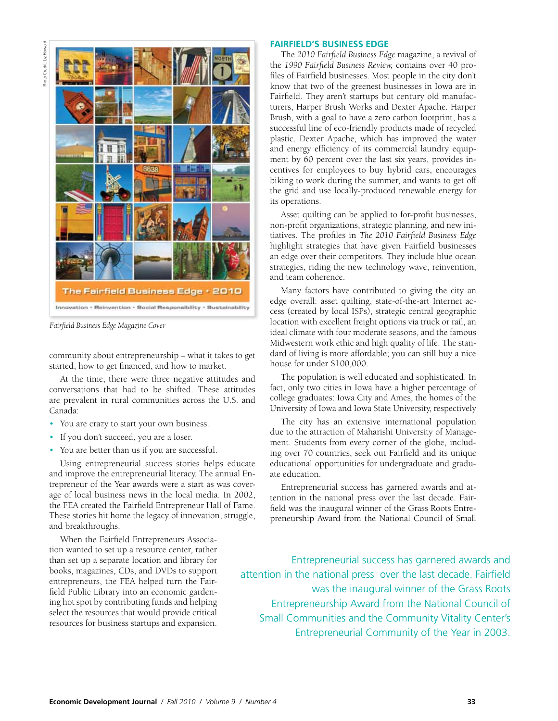Photo Credit: Liz Howard Photo Credit: Liz Howard



*Fairfield Business Edge Magazine Cover*

community about entrepreneurship – what it takes to get started, how to get financed, and how to market.

At the time, there were three negative attitudes and conversations that had to be shifted. These attitudes are prevalent in rural communities across the U.S. and Canada:

- You are crazy to start your own business.
- If you don't succeed, you are a loser.
- You are better than us if you are successful.

Using entrepreneurial success stories helps educate and improve the entrepreneurial literacy. The annual Entrepreneur of the Year awards were a start as was coverage of local business news in the local media. In 2002, the FEA created the Fairfield Entrepreneur Hall of Fame. These stories hit home the legacy of innovation, struggle, and breakthroughs.

When the Fairfield Entrepreneurs Association wanted to set up a resource center, rather than set up a separate location and library for books, magazines, CDs, and DVDs to support entrepreneurs, the FEA helped turn the Fairfield Public Library into an economic gardening hot spot by contributing funds and helping select the resources that would provide critical resources for business startups and expansion.

#### **Fairfield's Business Edge**

The *2010 Fairfield Business Edge* magazine, a revival of the *1990 Fairfield Business Review,* contains over 40 profiles of Fairfield businesses. Most people in the city don't know that two of the greenest businesses in Iowa are in Fairfield. They aren't startups but century old manufacturers, Harper Brush Works and Dexter Apache. Harper Brush, with a goal to have a zero carbon footprint, has a successful line of eco-friendly products made of recycled plastic. Dexter Apache, which has improved the water and energy efficiency of its commercial laundry equipment by 60 percent over the last six years, provides incentives for employees to buy hybrid cars, encourages biking to work during the summer, and wants to get off the grid and use locally-produced renewable energy for its operations.

Asset quilting can be applied to for-profit businesses, non-profit organizations, strategic planning, and new initiatives. The profiles in *The 2010 Fairfield Business Edge*  highlight strategies that have given Fairfield businesses an edge over their competitors. They include blue ocean strategies, riding the new technology wave, reinvention, and team coherence.

Many factors have contributed to giving the city an edge overall: asset quilting, state-of-the-art Internet access (created by local ISPs), strategic central geographic location with excellent freight options via truck or rail, an ideal climate with four moderate seasons, and the famous Midwestern work ethic and high quality of life. The standard of living is more affordable; you can still buy a nice house for under \$100,000.

The population is well educated and sophisticated. In fact, only two cities in Iowa have a higher percentage of college graduates: Iowa City and Ames, the homes of the University of Iowa and Iowa State University, respectively

The city has an extensive international population due to the attraction of Maharishi University of Management. Students from every corner of the globe, including over 70 countries, seek out Fairfield and its unique educational opportunities for undergraduate and graduate education.

Entrepreneurial success has garnered awards and attention in the national press over the last decade. Fairfield was the inaugural winner of the Grass Roots Entrepreneurship Award from the National Council of Small

 Entrepreneurial success has garnered awards and attention in the national press over the last decade. Fairfield was the inaugural winner of the Grass Roots Entrepreneurship Award from the National Council of Small Communities and the Community Vitality Center's Entrepreneurial Community of the Year in 2003.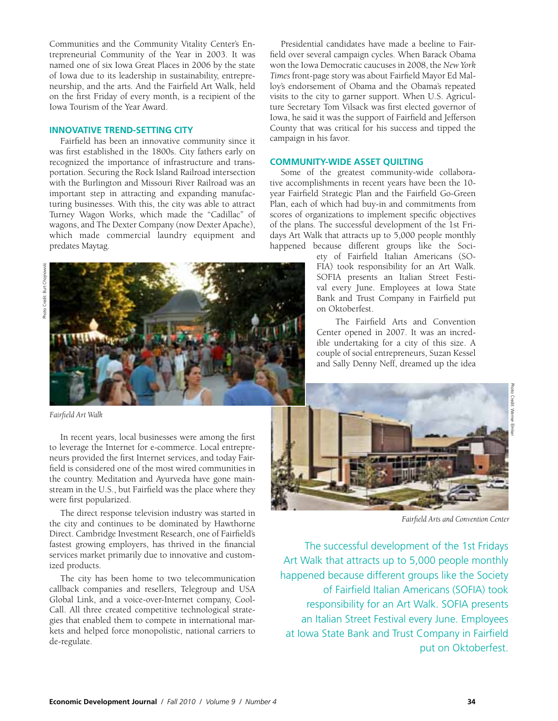Communities and the Community Vitality Center's Entrepreneurial Community of the Year in 2003. It was named one of six Iowa Great Places in 2006 by the state of Iowa due to its leadership in sustainability, entrepreneurship, and the arts. And the Fairfield Art Walk, held on the first Friday of every month, is a recipient of the Iowa Tourism of the Year Award.

### **Innovative Trend-Setting City**

Fairfield has been an innovative community since it was first established in the 1800s. City fathers early on recognized the importance of infrastructure and transportation. Securing the Rock Island Railroad intersection with the Burlington and Missouri River Railroad was an important step in attracting and expanding manufacturing businesses. With this, the city was able to attract Turney Wagon Works, which made the "Cadillac" of wagons, and The Dexter Company (now Dexter Apache), which made commercial laundry equipment and predates Maytag.



*Fairfield Art Walk* 

In recent years, local businesses were among the first to leverage the Internet for e-commerce. Local entrepreneurs provided the first Internet services, and today Fairfield is considered one of the most wired communities in the country. Meditation and Ayurveda have gone mainstream in the U.S., but Fairfield was the place where they were first popularized.

The direct response television industry was started in the city and continues to be dominated by Hawthorne Direct. Cambridge Investment Research, one of Fairfield's fastest growing employers, has thrived in the financial services market primarily due to innovative and customized products.

The city has been home to two telecommunication callback companies and resellers, Telegroup and USA Global Link, and a voice-over-Internet company, Cool-Call. All three created competitive technological strategies that enabled them to compete in international markets and helped force monopolistic, national carriers to de-regulate.

Presidential candidates have made a beeline to Fairfield over several campaign cycles. When Barack Obama won the Iowa Democratic caucuses in 2008, the *New York Times* front-page story was about Fairfield Mayor Ed Malloy's endorsement of Obama and the Obama's repeated visits to the city to garner support. When U.S. Agriculture Secretary Tom Vilsack was first elected governor of Iowa, he said it was the support of Fairfield and Jefferson County that was critical for his success and tipped the campaign in his favor.

#### **Community-wide Asset Quilting**

Some of the greatest community-wide collaborative accomplishments in recent years have been the 10 year Fairfield Strategic Plan and the Fairfield Go-Green Plan, each of which had buy-in and commitments from scores of organizations to implement specific objectives of the plans. The successful development of the 1st Fridays Art Walk that attracts up to 5,000 people monthly happened because different groups like the Soci-

> ety of Fairfield Italian Americans (SO-FIA) took responsibility for an Art Walk. SOFIA presents an Italian Street Festival every June. Employees at Iowa State Bank and Trust Company in Fairfield put on Oktoberfest.

The Fairfield Arts and Convention Center opened in 2007. It was an incredible undertaking for a city of this size. A couple of social entrepreneurs, Suzan Kessel and Sally Denny Neff, dreamed up the idea



*Fairfield Arts and Convention Center* 

The successful development of the 1st Fridays Art Walk that attracts up to 5,000 people monthly happened because different groups like the Society of Fairfield Italian Americans (SOFIA) took responsibility for an Art Walk. SOFIA presents an Italian Street Festival every June. Employees at Iowa State Bank and Trust Company in Fairfield put on Oktoberfest.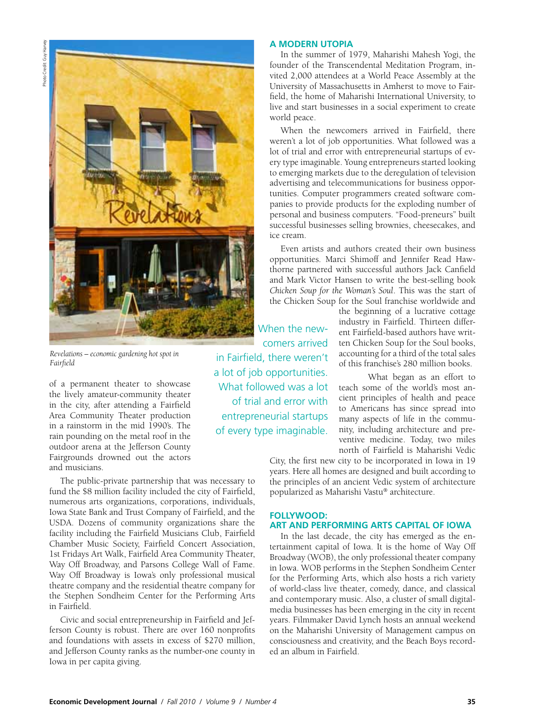

*Revelations – economic gardening hot spot in Fairfield*

of a permanent theater to showcase the lively amateur-community theater in the city, after attending a Fairfield Area Community Theater production in a rainstorm in the mid 1990's. The rain pounding on the metal roof in the outdoor arena at the Jefferson County Fairgrounds drowned out the actors and musicians.

The public-private partnership that was necessary to fund the \$8 million facility included the city of Fairfield, numerous arts organizations, corporations, individuals, Iowa State Bank and Trust Company of Fairfield, and the USDA. Dozens of community organizations share the facility including the Fairfield Musicians Club, Fairfield Chamber Music Society, Fairfield Concert Association, 1st Fridays Art Walk, Fairfield Area Community Theater, Way Off Broadway, and Parsons College Wall of Fame. Way Off Broadway is Iowa's only professional musical theatre company and the residential theatre company for the Stephen Sondheim Center for the Performing Arts in Fairfield.

Civic and social entrepreneurship in Fairfield and Jefferson County is robust. There are over 160 nonprofits and foundations with assets in excess of \$270 million, and Jefferson County ranks as the number-one county in Iowa in per capita giving.

#### **A Modern Utopia**

In the summer of 1979, Maharishi Mahesh Yogi, the founder of the Transcendental Meditation Program, invited 2,000 attendees at a World Peace Assembly at the University of Massachusetts in Amherst to move to Fairfield, the home of Maharishi International University, to live and start businesses in a social experiment to create world peace.

When the newcomers arrived in Fairfield, there weren't a lot of job opportunities. What followed was a lot of trial and error with entrepreneurial startups of every type imaginable. Young entrepreneurs started looking to emerging markets due to the deregulation of television advertising and telecommunications for business opportunities. Computer programmers created software companies to provide products for the exploding number of personal and business computers. "Food-preneurs" built successful businesses selling brownies, cheesecakes, and ice cream.

Even artists and authors created their own business opportunities. Marci Shimoff and Jennifer Read Hawthorne partnered with successful authors Jack Canfield and Mark Victor Hansen to write the best-selling book *Chicken Soup for the Woman's Soul*. This was the start of the Chicken Soup for the Soul franchise worldwide and

When the newcomers arrived in Fairfield, there weren't a lot of job opportunities. What followed was a lot of trial and error with entrepreneurial startups of every type imaginable. the beginning of a lucrative cottage industry in Fairfield. Thirteen different Fairfield-based authors have written Chicken Soup for the Soul books, accounting for a third of the total sales of this franchise's 280 million books.

What began as an effort to teach some of the world's most ancient principles of health and peace to Americans has since spread into many aspects of life in the community, including architecture and preventive medicine. Today, two miles north of Fairfield is Maharishi Vedic

City, the first new city to be incorporated in Iowa in 19 years. Here all homes are designed and built according to the principles of an ancient Vedic system of architecture popularized as Maharishi Vastu® architecture.

#### **Follywood: Art and Performing Arts Capital of Iowa**

In the last decade, the city has emerged as the entertainment capital of Iowa. It is the home of Way Off Broadway (WOB), the only professional theater company in Iowa. WOB performs in the Stephen Sondheim Center for the Performing Arts, which also hosts a rich variety of world-class live theater, comedy, dance, and classical and contemporary music. Also, a cluster of small digitalmedia businesses has been emerging in the city in recent years. Filmmaker David Lynch hosts an annual weekend on the Maharishi University of Management campus on consciousness and creativity, and the Beach Boys recorded an album in Fairfield.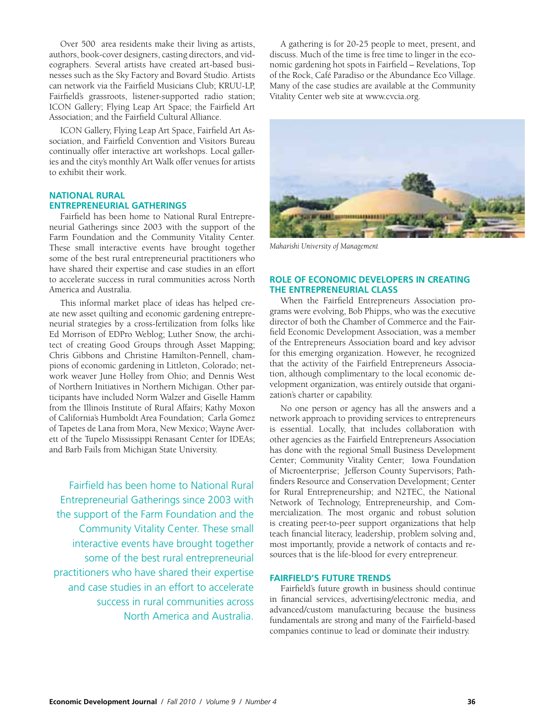Over 500 area residents make their living as artists, authors, book-cover designers, casting directors, and videographers. Several artists have created art-based businesses such as the Sky Factory and Bovard Studio. Artists can network via the Fairfield Musicians Club; KRUU-LP, Fairfield's grassroots, listener-supported radio station; ICON Gallery; Flying Leap Art Space; the Fairfield Art Association; and the Fairfield Cultural Alliance.

ICON Gallery, Flying Leap Art Space, Fairfield Art Association, and Fairfield Convention and Visitors Bureau continually offer interactive art workshops. Local galleries and the city's monthly Art Walk offer venues for artists to exhibit their work.

#### **National Rural Entrepreneurial Gatherings**

Fairfield has been home to National Rural Entrepreneurial Gatherings since 2003 with the support of the Farm Foundation and the Community Vitality Center. These small interactive events have brought together some of the best rural entrepreneurial practitioners who have shared their expertise and case studies in an effort to accelerate success in rural communities across North America and Australia.

This informal market place of ideas has helped create new asset quilting and economic gardening entrepreneurial strategies by a cross-fertilization from folks like Ed Morrison of EDPro Weblog; Luther Snow, the architect of creating Good Groups through Asset Mapping; Chris Gibbons and Christine Hamilton-Pennell, champions of economic gardening in Littleton, Colorado; network weaver June Holley from Ohio; and Dennis West of Northern Initiatives in Northern Michigan. Other participants have included Norm Walzer and Giselle Hamm from the Illinois Institute of Rural Affairs; Kathy Moxon of California's Humboldt Area Foundation; Carla Gomez of Tapetes de Lana from Mora, New Mexico; Wayne Averett of the Tupelo Mississippi Renasant Center for IDEAs; and Barb Fails from Michigan State University.

Fairfield has been home to National Rural Entrepreneurial Gatherings since 2003 with the support of the Farm Foundation and the Community Vitality Center. These small interactive events have brought together some of the best rural entrepreneurial practitioners who have shared their expertise and case studies in an effort to accelerate success in rural communities across North America and Australia.

A gathering is for 20-25 people to meet, present, and discuss. Much of the time is free time to linger in the economic gardening hot spots in Fairfield – Revelations, Top of the Rock, Café Paradiso or the Abundance Eco Village. Many of the case studies are available at the Community Vitality Center web site at [www.cvcia.org.](www.cvcia.org)



*Maharishi University of Management* 

#### **Role of Economic Developers in Creating the Entrepreneurial Class**

When the Fairfield Entrepreneurs Association programs were evolving, Bob Phipps, who was the executive director of both the Chamber of Commerce and the Fairfield Economic Development Association, was a member of the Entrepreneurs Association board and key advisor for this emerging organization. However, he recognized that the activity of the Fairfield Entrepreneurs Association, although complimentary to the local economic development organization, was entirely outside that organization's charter or capability.

No one person or agency has all the answers and a network approach to providing services to entrepreneurs is essential. Locally, that includes collaboration with other agencies as the Fairfield Entrepreneurs Association has done with the regional Small Business Development Center; Community Vitality Center; Iowa Foundation of Microenterprise; Jefferson County Supervisors; Pathfinders Resource and Conservation Development; Center for Rural Entrepreneurship; and N2TEC, the National Network of Technology, Entrepreneurship, and Commercialization. The most organic and robust solution is creating peer-to-peer support organizations that help teach financial literacy, leadership, problem solving and, most importantly, provide a network of contacts and resources that is the life-blood for every entrepreneur.

#### **Fairfield's Future Trends**

Fairfield's future growth in business should continue in financial services, advertising/electronic media, and advanced/custom manufacturing because the business fundamentals are strong and many of the Fairfield-based companies continue to lead or dominate their industry.